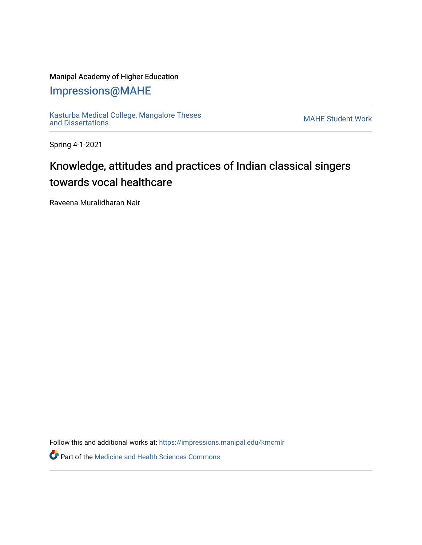### Manipal Academy of Higher Education

## [Impressions@MAHE](https://impressions.manipal.edu/)

[Kasturba Medical College, Mangalore Theses](https://impressions.manipal.edu/kmcmlr) Kasturba Medical College, Mangalore Theses<br>[and Dissertations](https://impressions.manipal.edu/kmcmlr) MAHE Student Work

Spring 4-1-2021

# Knowledge, attitudes and practices of Indian classical singers towards vocal healthcare

Raveena Muralidharan Nair

Follow this and additional works at: [https://impressions.manipal.edu/kmcmlr](https://impressions.manipal.edu/kmcmlr?utm_source=impressions.manipal.edu%2Fkmcmlr%2F215&utm_medium=PDF&utm_campaign=PDFCoverPages) 

**Part of the Medicine and Health Sciences Commons**